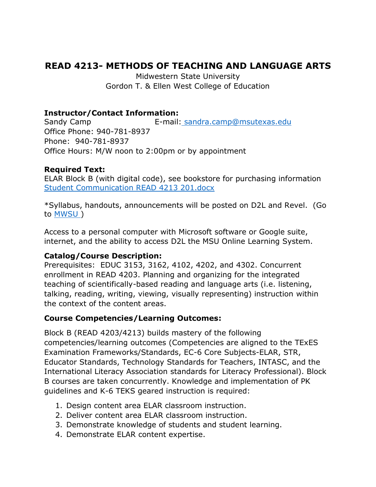# **READ 4213- METHODS OF TEACHING AND LANGUAGE ARTS**

Midwestern State University Gordon T. & Ellen West College of Education

#### **Instructor/Contact Information:**

Sandy Camp E-mail: [sandra.camp@msutexas.edu](mailto:%20sandra.camp@msutexas.edu) Office Phone: 940-781-8937 Phone: 940-781-8937 Office Hours: M/W noon to 2:00pm or by appointment

## **Required Text:**

ELAR Block B (with digital code), see bookstore for purchasing information [Student Communication READ 4213 201.docx](file:///C:/Users/scamp_000/OneDrive/Desktop/MSU/Fall%20-%20Camp%20Reading%204213/Student%20Communication%20READ%204213%20201.docx)

\*Syllabus, handouts, announcements will be posted on D2L and Revel. (Go to [MWSU](https://mwsu.edu/) )

Access to a personal computer with Microsoft software or Google suite, internet, and the ability to access D2L the MSU Online Learning System.

#### **Catalog/Course Description:**

Prerequisites: EDUC 3153, 3162, 4102, 4202, and 4302. Concurrent enrollment in READ 4203. Planning and organizing for the integrated teaching of scientifically-based reading and language arts (i.e. listening, talking, reading, writing, viewing, visually representing) instruction within the context of the content areas.

## **Course Competencies/Learning Outcomes:**

Block B (READ 4203/4213) builds mastery of the following competencies/learning outcomes (Competencies are aligned to the TExES Examination Frameworks/Standards, EC-6 Core Subjects-ELAR, STR, Educator Standards, Technology Standards for Teachers, INTASC, and the International Literacy Association standards for Literacy Professional). Block B courses are taken concurrently. Knowledge and implementation of PK guidelines and K-6 TEKS geared instruction is required:

- 1. Design content area ELAR classroom instruction.
- 2. Deliver content area ELAR classroom instruction.
- 3. Demonstrate knowledge of students and student learning.
- 4. Demonstrate ELAR content expertise.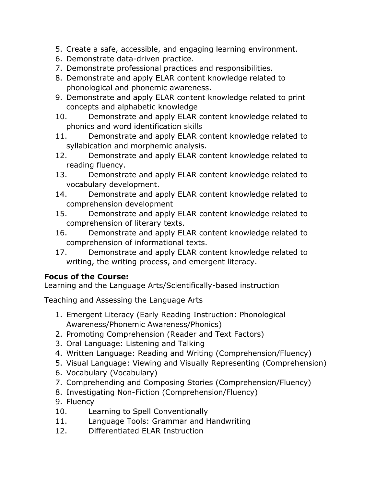- 5. Create a safe, accessible, and engaging learning environment.
- 6. Demonstrate data-driven practice.
- 7. Demonstrate professional practices and responsibilities.
- 8. Demonstrate and apply ELAR content knowledge related to phonological and phonemic awareness.
- 9. Demonstrate and apply ELAR content knowledge related to print concepts and alphabetic knowledge
- 10. Demonstrate and apply ELAR content knowledge related to phonics and word identification skills
- 11. Demonstrate and apply ELAR content knowledge related to syllabication and morphemic analysis.
- 12. Demonstrate and apply ELAR content knowledge related to reading fluency.
- 13. Demonstrate and apply ELAR content knowledge related to vocabulary development.
- 14. Demonstrate and apply ELAR content knowledge related to comprehension development
- 15. Demonstrate and apply ELAR content knowledge related to comprehension of literary texts.
- 16. Demonstrate and apply ELAR content knowledge related to comprehension of informational texts.
- 17. Demonstrate and apply ELAR content knowledge related to writing, the writing process, and emergent literacy.

# **Focus of the Course:**

Learning and the Language Arts/Scientifically-based instruction

Teaching and Assessing the Language Arts

- 1. Emergent Literacy (Early Reading Instruction: Phonological Awareness/Phonemic Awareness/Phonics)
- 2. Promoting Comprehension (Reader and Text Factors)
- 3. Oral Language: Listening and Talking
- 4. Written Language: Reading and Writing (Comprehension/Fluency)
- 5. Visual Language: Viewing and Visually Representing (Comprehension)
- 6. Vocabulary (Vocabulary)
- 7. Comprehending and Composing Stories (Comprehension/Fluency)
- 8. Investigating Non-Fiction (Comprehension/Fluency)
- 9. Fluency
- 10. Learning to Spell Conventionally
- 11. Language Tools: Grammar and Handwriting
- 12. Differentiated ELAR Instruction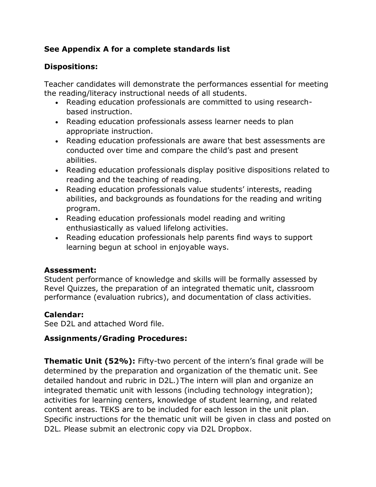# **See Appendix A for a complete standards list**

## **Dispositions:**

Teacher candidates will demonstrate the performances essential for meeting the reading/literacy instructional needs of all students.

- Reading education professionals are committed to using researchbased instruction.
- Reading education professionals assess learner needs to plan appropriate instruction.
- Reading education professionals are aware that best assessments are conducted over time and compare the child's past and present abilities.
- Reading education professionals display positive dispositions related to reading and the teaching of reading.
- Reading education professionals value students' interests, reading abilities, and backgrounds as foundations for the reading and writing program.
- Reading education professionals model reading and writing enthusiastically as valued lifelong activities.
- Reading education professionals help parents find ways to support learning begun at school in enjoyable ways.

## **Assessment:**

Student performance of knowledge and skills will be formally assessed by Revel Quizzes, the preparation of an integrated thematic unit, classroom performance (evaluation rubrics), and documentation of class activities.

## **Calendar:**

See D2L and attached Word file.

# **Assignments/Grading Procedures:**

**Thematic Unit (52%):** Fifty-two percent of the intern's final grade will be determined by the preparation and organization of the thematic unit. See detailed handout and rubric in D2L.) The intern will plan and organize an integrated thematic unit with lessons (including technology integration); activities for learning centers, knowledge of student learning, and related content areas. TEKS are to be included for each lesson in the unit plan. Specific instructions for the thematic unit will be given in class and posted on D2L. Please submit an electronic copy via D2L Dropbox.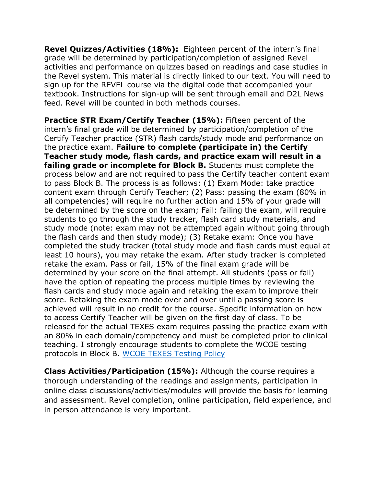**Revel Quizzes/Activities (18%):** Eighteen percent of the intern's final grade will be determined by participation/completion of assigned Revel activities and performance on quizzes based on readings and case studies in the Revel system. This material is directly linked to our text. You will need to sign up for the REVEL course via the digital code that accompanied your textbook. Instructions for sign-up will be sent through email and D2L News feed. Revel will be counted in both methods courses.

**Practice STR Exam/Certify Teacher (15%):** Fifteen percent of the intern's final grade will be determined by participation/completion of the Certify Teacher practice (STR) flash cards/study mode and performance on the practice exam. **Failure to complete (participate in) the Certify Teacher study mode, flash cards, and practice exam will result in a failing grade or incomplete for Block B.** Students must complete the process below and are not required to pass the Certify teacher content exam to pass Block B. The process is as follows: (1) Exam Mode: take practice content exam through Certify Teacher; (2) Pass: passing the exam (80% in all competencies) will require no further action and 15% of your grade will be determined by the score on the exam; Fail: failing the exam, will require students to go through the study tracker, flash card study materials, and study mode (note: exam may not be attempted again without going through the flash cards and then study mode); (3) Retake exam: Once you have completed the study tracker (total study mode and flash cards must equal at least 10 hours), you may retake the exam. After study tracker is completed retake the exam. Pass or fail, 15% of the final exam grade will be determined by your score on the final attempt. All students (pass or fail) have the option of repeating the process multiple times by reviewing the flash cards and study mode again and retaking the exam to improve their score. Retaking the exam mode over and over until a passing score is achieved will result in no credit for the course. Specific information on how to access Certify Teacher will be given on the first day of class. To be released for the actual TEXES exam requires passing the practice exam with an 80% in each domain/competency and must be completed prior to clinical teaching. I strongly encourage students to complete the WCOE testing protocols in Block B. [WCOE TEXES Testing Policy](https://msutexas.edu/academics/education/certification-exam-testing-policy.php)

**Class Activities/Participation (15%):** Although the course requires a thorough understanding of the readings and assignments, participation in online class discussions/activities/modules will provide the basis for learning and assessment. Revel completion, online participation, field experience, and in person attendance is very important.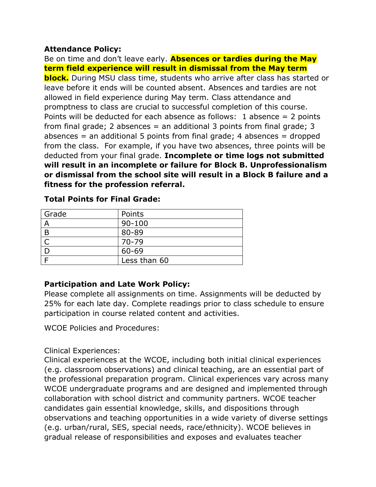#### **Attendance Policy:**

Be on time and don't leave early. **Absences or tardies during the May term field experience will result in dismissal from the May term block.** During MSU class time, students who arrive after class has started or leave before it ends will be counted absent. Absences and tardies are not allowed in field experience during May term. Class attendance and promptness to class are crucial to successful completion of this course. Points will be deducted for each absence as follows: 1 absence  $= 2$  points from final grade; 2 absences  $=$  an additional 3 points from final grade; 3 absences  $=$  an additional 5 points from final grade; 4 absences  $=$  dropped from the class. For example, if you have two absences, three points will be deducted from your final grade. **Incomplete or time logs not submitted will result in an incomplete or failure for Block B. Unprofessionalism or dismissal from the school site will result in a Block B failure and a fitness for the profession referral.**

| Points       |
|--------------|
| $90 - 100$   |
| 80-89        |
| $70 - 79$    |
| 60-69        |
| Less than 60 |
|              |

**Total Points for Final Grade:**

## **Participation and Late Work Policy:**

Please complete all assignments on time. Assignments will be deducted by 25% for each late day. Complete readings prior to class schedule to ensure participation in course related content and activities.

WCOE Policies and Procedures:

## Clinical Experiences:

Clinical experiences at the WCOE, including both initial clinical experiences (e.g. classroom observations) and clinical teaching, are an essential part of the professional preparation program. Clinical experiences vary across many WCOE undergraduate programs and are designed and implemented through collaboration with school district and community partners. WCOE teacher candidates gain essential knowledge, skills, and dispositions through observations and teaching opportunities in a wide variety of diverse settings (e.g. urban/rural, SES, special needs, race/ethnicity). WCOE believes in gradual release of responsibilities and exposes and evaluates teacher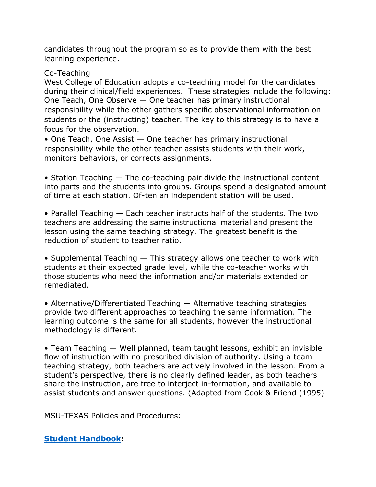candidates throughout the program so as to provide them with the best learning experience.

#### Co-Teaching

West College of Education adopts a co-teaching model for the candidates during their clinical/field experiences. These strategies include the following: One Teach, One Observe — One teacher has primary instructional responsibility while the other gathers specific observational information on students or the (instructing) teacher. The key to this strategy is to have a focus for the observation.

• One Teach, One Assist — One teacher has primary instructional responsibility while the other teacher assists students with their work, monitors behaviors, or corrects assignments.

• Station Teaching  $-$  The co-teaching pair divide the instructional content into parts and the students into groups. Groups spend a designated amount of time at each station. Of-ten an independent station will be used.

• Parallel Teaching — Each teacher instructs half of the students. The two teachers are addressing the same instructional material and present the lesson using the same teaching strategy. The greatest benefit is the reduction of student to teacher ratio.

• Supplemental Teaching — This strategy allows one teacher to work with students at their expected grade level, while the co-teacher works with those students who need the information and/or materials extended or remediated.

• Alternative/Differentiated Teaching — Alternative teaching strategies provide two different approaches to teaching the same information. The learning outcome is the same for all students, however the instructional methodology is different.

• Team Teaching — Well planned, team taught lessons, exhibit an invisible flow of instruction with no prescribed division of authority. Using a team teaching strategy, both teachers are actively involved in the lesson. From a student's perspective, there is no clearly defined leader, as both teachers share the instruction, are free to interject in-formation, and available to assist students and answer questions. (Adapted from Cook & Friend (1995)

MSU-TEXAS Policies and Procedures:

## **[Student Handbook:](https://msutexas.edu/student-life/_assets/files/handbook.pdf)**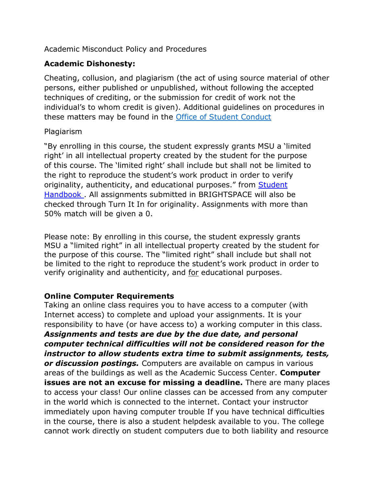Academic Misconduct Policy and Procedures

## **Academic Dishonesty:**

Cheating, collusion, and plagiarism (the act of using source material of other persons, either published or unpublished, without following the accepted techniques of crediting, or the submission for credit of work not the individual's to whom credit is given). Additional guidelines on procedures in these matters may be found in the [Office of Student Conduct](https://mwsu.edu/student-life/conduct/)

#### Plagiarism

"By enrolling in this course, the student expressly grants MSU a 'limited right' in all intellectual property created by the student for the purpose of this course. The 'limited right' shall include but shall not be limited to the right to reproduce the student's work product in order to verify originality, authenticity, and educational purposes." from **Student** [Handbook .](https://msutexas.edu/student-life/_assets/files/handbook.pdf) All assignments submitted in BRIGHTSPACE will also be checked through Turn It In for originality. Assignments with more than 50% match will be given a 0.

Please note: By enrolling in this course, the student expressly grants MSU a "limited right" in all intellectual property created by the student for the purpose of this course. The "limited right" shall include but shall not be limited to the right to reproduce the student's work product in order to verify originality and authenticity, and for educational purposes.

## **Online Computer Requirements**

Taking an online class requires you to have access to a computer (with Internet access) to complete and upload your assignments. It is your responsibility to have (or have access to) a working computer in this class. *Assignments and tests are due by the due date, and personal computer technical difficulties will not be considered reason for the instructor to allow students extra time to submit assignments, tests, or discussion postings.* Computers are available on campus in various areas of the buildings as well as the Academic Success Center. **Computer issues are not an excuse for missing a deadline.** There are many places to access your class! Our online classes can be accessed from any computer in the world which is connected to the internet. Contact your instructor immediately upon having computer trouble If you have technical difficulties in the course, there is also a student helpdesk available to you. The college cannot work directly on student computers due to both liability and resource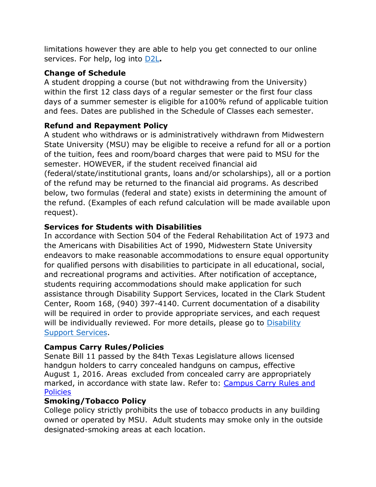limitations however they are able to help you get connected to our online services. For help, log into [D2L](https://d2l.mwsu.edu/)**.**

## **Change of Schedule**

A student dropping a course (but not withdrawing from the University) within the first 12 class days of a regular semester or the first four class days of a summer semester is eligible for a100% refund of applicable tuition and fees. Dates are published in the Schedule of Classes each semester.

## **Refund and Repayment Policy**

A student who withdraws or is administratively withdrawn from Midwestern State University (MSU) may be eligible to receive a refund for all or a portion of the tuition, fees and room/board charges that were paid to MSU for the semester. HOWEVER, if the student received financial aid (federal/state/institutional grants, loans and/or scholarships), all or a portion of the refund may be returned to the financial aid programs. As described below, two formulas (federal and state) exists in determining the amount of the refund. (Examples of each refund calculation will be made available upon request).

## **Services for Students with Disabilities**

In accordance with Section 504 of the Federal Rehabilitation Act of 1973 and the Americans with Disabilities Act of 1990, Midwestern State University endeavors to make reasonable accommodations to ensure equal opportunity for qualified persons with disabilities to participate in all educational, social, and recreational programs and activities. After notification of acceptance, students requiring accommodations should make application for such assistance through Disability Support Services, located in the Clark Student Center, Room 168, (940) 397-4140. Current documentation of a disability will be required in order to provide appropriate services, and each request will be individually reviewed. For more details, please go to Disability [Support Services.](http://www.mwsu.edu/student-life/disability)

## **Campus Carry Rules/Policies**

Senate Bill 11 passed by the 84th Texas Legislature allows licensed handgun holders to carry concealed handguns on campus, effective August 1, 2016. Areas excluded from concealed carry are appropriately marked, in accordance with state law. Refer to: [Campus Carry Rules and](https://msutexas.edu/campus-carry/) **[Policies](https://msutexas.edu/campus-carry/)** 

## **Smoking/Tobacco Policy**

College policy strictly prohibits the use of tobacco products in any building owned or operated by MSU. Adult students may smoke only in the outside designated-smoking areas at each location.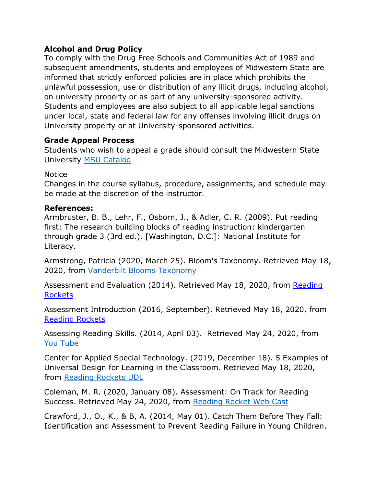## **Alcohol and Drug Policy**

To comply with the Drug Free Schools and Communities Act of 1989 and subsequent amendments, students and employees of Midwestern State are informed that strictly enforced policies are in place which prohibits the unlawful possession, use or distribution of any illicit drugs, including alcohol, on university property or as part of any university-sponsored activity. Students and employees are also subject to all applicable legal sanctions under local, state and federal law for any offenses involving illicit drugs on University property or at University-sponsored activities.

## **Grade Appeal Process**

Students who wish to appeal a grade should consult the Midwestern State University [MSU Catalog](http://catalog.mwsu.edu/content.php?catoid=14&navoid=655#Appeal_of_Course_Grade)

#### Notice

Changes in the course syllabus, procedure, assignments, and schedule may be made at the discretion of the instructor.

## **References:**

Armbruster, B. B., Lehr, F., Osborn, J., & Adler, C. R. (2009). Put reading first: The research building blocks of reading instruction: kindergarten through grade 3 (3rd ed.). [Washington, D.C.]: National Institute for Literacy.

Armstrong, Patricia (2020, March 25). Bloom's Taxonomy. Retrieved May 18, 2020, from [Vanderbilt Blooms Taxonomy](https://cft.vanderbilt.edu/guides-sub-pages/blooms-taxonomy/)

Assessment and Evaluation (2014). Retrieved May 18, 2020, from [Reading](file://admin.msu/homes/daphney.curry/Documents/Documents/TCHG%20READING%20LANG%20ARTS%20READ%204213/Fall%202020/Reading%20Rockets)  [Rockets](file://admin.msu/homes/daphney.curry/Documents/Documents/TCHG%20READING%20LANG%20ARTS%20READ%204213/Fall%202020/Reading%20Rockets)

Assessment Introduction (2016, September). Retrieved May 18, 2020, from [Reading Rockets](https://www.readingrockets.org/reading-topics/assessment-and-evaluation)

Assessing Reading Skills. (2014, April 03). Retrieved May 24, 2020, from [You Tube](https://www.youtube.com/watch?list=PLLxDwKxHx1yLaakQhmNqifwHWrbh8_71q&time_continue=26&v=FIlNEgMItho&feature=emb_logo)

Center for Applied Special Technology. (2019, December 18). 5 Examples of Universal Design for Learning in the Classroom. Retrieved May 18, 2020, from [Reading Rockets UDL](https://www.readingrockets.org/article/5-examples-universal-design-learning-classroom)

Coleman, M. R. (2020, January 08). Assessment: On Track for Reading Success. Retrieved May 24, 2020, from Reading Rocket Web Cast

Crawford, J., O., K., & B, A. (2014, May 01). Catch Them Before They Fall: Identification and Assessment to Prevent Reading Failure in Young Children.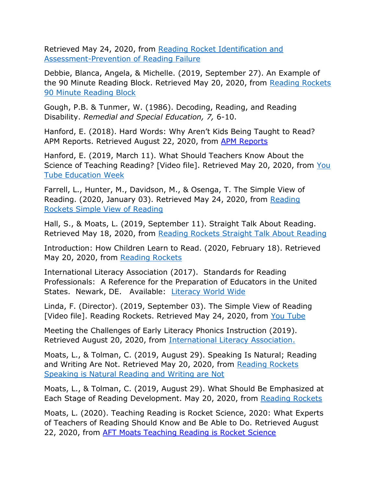Retrieved May 24, 2020, from [Reading Rocket Identification and](https://www.readingrockets.org/article/catch-them-they-fall-identification-and-assessment-prevent-reading-failure-young-children)  [Assessment-Prevention of Reading Failure](https://www.readingrockets.org/article/catch-them-they-fall-identification-and-assessment-prevent-reading-failure-young-children)

Debbie, Blanca, Angela, & Michelle. (2019, September 27). An Example of the 90 Minute Reading Block. Retrieved May 20, 2020, from Reading Rockets [90 Minute Reading Block](https://www.readingrockets.org/article/example-90-minute-reading-block)

Gough, P.B. & Tunmer, W. (1986). Decoding, Reading, and Reading Disability. *Remedial and Special Education, 7,* 6-10.

Hanford, E. (2018). Hard Words: Why Aren't Kids Being Taught to Read? [APM Reports](https://www.apmreports.org/episode/2018/09/10/hard-words-why-american-kids-arent-being-taught-to-read). Retrieved August 22, 2020, from APM Reports

Hanford, E. (2019, March 11). What Should Teachers Know About the Science of Teaching Reading? [Video file]. Retrieved May 20, 2020, from You [Tube Education Week](https://www.youtube.com/watch?v=1HGS9EG0HgU)

Farrell, L., Hunter, M., Davidson, M., & Osenga, T. The Simple View of Reading. (2020, January 03). Retrieved May 24, 2020, from [Reading](file:///C:/Users/daphney.curry/Downloads/Reading%20Rockets%20Simple%20View%20of%20Reading)  [Rockets Simple View of Reading](file:///C:/Users/daphney.curry/Downloads/Reading%20Rockets%20Simple%20View%20of%20Reading)

Hall, S., & Moats, L. (2019, September 11). Straight Talk About Reading. Retrieved May 18, 2020, from [Reading Rockets Straight Talk About Reading](https://www.readingrockets.org/article/straight-talk-about-reading)

Introduction: How Children Learn to Read. (2020, February 18). Retrieved May 20, 2020, from [Reading Rockets](https://www.readingrockets.org/teaching/reading101-course/introduction-how-children-learn-read)

International Literacy Association (2017). Standards for Reading Professionals: A Reference for the Preparation of Educators in the United States. Newark, DE. Available: [Literacy World Wide](http://www.reading.org/)

Linda, F. (Director). (2019, September 03). The Simple View of Reading [Video file]. Reading Rockets. Retrieved May 24, 2020, from [You Tube](https://www.youtube.com/watch?v=BhpHr3SC7hk)

Meeting the Challenges of Early Literacy Phonics Instruction (2019). Retrieved August 20, 2020, from [International Literacy Association.](https://www.literacyworldwide.org/docs/default-source/where-we-stand/ila-meeting-challenges-early-literacy-phonics-instruction.pdf)

Moats, L., & Tolman, C. (2019, August 29). Speaking Is Natural; Reading and Writing Are Not. Retrieved May 20, 2020, from [Reading Rockets](https://www.readingrockets.org/article/speaking-natural-reading-and-writing-are-not)  [Speaking is Natural Reading and Writing are Not](https://www.readingrockets.org/article/speaking-natural-reading-and-writing-are-not)

Moats, L., & Tolman, C. (2019, August 29). What Should Be Emphasized at Each Stage of Reading Development. May 20, 2020, from [Reading Rockets](https://www.readingrockets.org/article/speaking-natural-reading-and-writing-are-not)

Moats, L. (2020). Teaching Reading is Rocket Science, 2020: What Experts of Teachers of Reading Should Know and Be Able to Do. Retrieved August 22, 2020, from [AFT Moats Teaching Reading is Rocket Science](https://www.aft.org/sites/default/files/moats.pdf)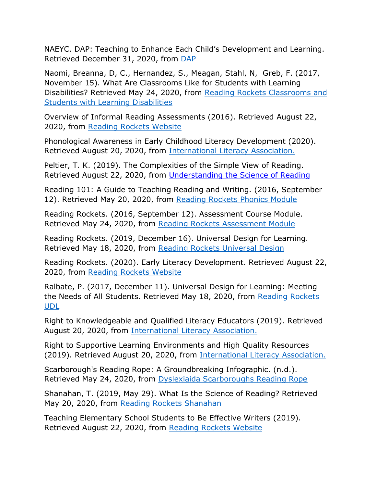NAEYC. DAP: Teaching to Enhance Each Child's Development and Learning. Retrieved December 31, 2020, from [DAP](https://www.naeyc.org/resources/position-statements/dap/enhance-development)

Naomi, Breanna, D, C., Hernandez, S., Meagan, Stahl, N, Greb, F. (2017, November 15). What Are Classrooms Like for Students with Learning Disabilities? Retrieved May 24, 2020, from Reading Rockets Classrooms and [Students with Learning Disabilities](https://www.readingrockets.org/article/what-are-classrooms-students-learning-disabilities)

Overview of Informal Reading Assessments (2016). Retrieved August 22, 2020, from [Reading Rockets Website](https://www.readingrockets.org/pdfs/assessments_overviewchart.pdf)

Phonological Awareness in Early Childhood Literacy Development (2020). Retrieved August 20, 2020, from [International Literacy Association.](https://www.literacyworldwide.org/docs/default-source/where-we-stand/9457_Phonological_Awareness_1-2020_Final.pdf)

Peltier, T. K. (2019). The Complexities of the Simple View of Reading. Retrieved August 22, 2020, from [Understanding the Science of Reading](https://understandingreading.home.blog/2019/11/11/the-simple-view-of-reading/)

Reading 101: A Guide to Teaching Reading and Writing. (2016, September 12). Retrieved May 20, 2020, from [Reading Rockets Phonics Module](https://www.readingrockets.org/teaching/reading101-course/modules/phonics-introduction)

Reading Rockets. (2016, September 12). Assessment Course Module. Retrieved May 24, 2020, from [Reading Rockets Assessment Module](https://www.readingrockets.org/teaching/reading101-course/modules/assessment-introduction)

Reading Rockets. (2019, December 16). Universal Design for Learning. Retrieved May 18, 2020, from [Reading Rockets Universal Design](https://www.readingrockets.org/article/universal-design-learning)

Reading Rockets. (2020). Early Literacy Development. Retrieved August 22, 2020, from [Reading Rockets Website](file://admin.msu/homes/daphney.curry/Documents/Documents/TCHG%20READING%20LANG%20ARTS%20READ%204213/Fall%202020/Reading%20Rockets%20Website)

Ralbate, P. (2017, December 11). Universal Design for Learning: Meeting the Needs of All Students. Retrieved May 18, 2020, from Reading Rockets [UDL](https://www.readingrockets.org/article/universal-design-learning-meeting-needs-all-students)

Right to Knowledgeable and Qualified Literacy Educators (2019). Retrieved August 20, 2020, from [International Literacy Association.](https://www.literacyworldwide.org/docs/default-source/where-we-stand/ila-right-to-knowledgeable-qualified-literacy-educators.pdf)

Right to Supportive Learning Environments and High Quality Resources (2019). Retrieved August 20, 2020, from [International Literacy Association.](https://www.literacyworldwide.org/docs/default-source/where-we-stand/ila-right-to-supportive-learning-environments-high-quality-resources.pdf)

Scarborough's Reading Rope: A Groundbreaking Infographic. (n.d.). Retrieved May 24, 2020, from [Dyslexiaida Scarboroughs Reading Rope](file:///C:/Users/daphney.curry/Downloads/Dyslexiaida%20Scarboroughs%20Reading%20Rope)

Shanahan, T. (2019, May 29). What Is the Science of Reading? Retrieved May 20, 2020, from [Reading Rockets Shanahan](https://www.readingrockets.org/blogs/shanahan-literacy/what-science-reading)

Teaching Elementary School Students to Be Effective Writers (2019). Retrieved August 22, 2020, from [Reading Rockets Website](https://www.readingrockets.org/article/teaching-elementary-school-students-be-effective-writers)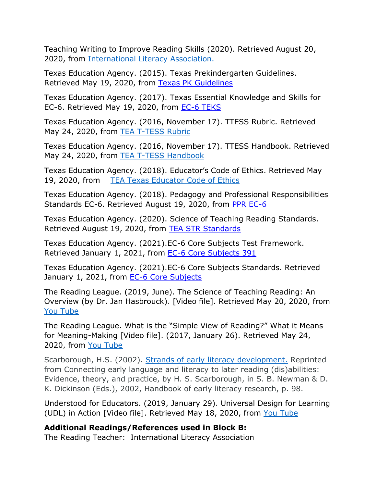Teaching Writing to Improve Reading Skills (2020). Retrieved August 20, 2020, from [International Literacy Association.](https://www.literacyworldwide.org/docs/default-source/where-we-stand/ila-teaching-writing-to-improve-reading-skills.pdf)

Texas Education Agency. (2015). Texas Prekindergarten Guidelines. Retrieved May 19, 2020, from [Texas PK Guidelines](https://tea.texas.gov/sites/default/files/PKG_Final_2015_navigation.pdf)

Texas Education Agency. (2017). Texas Essential Knowledge and Skills for EC-6. Retrieved May 19, 2020, from [EC-6 TEKS](http://ritter.tea.state.tx.us/rules/tac/chapter110/index.html)

Texas Education Agency. (2016, November 17). TTESS Rubric. Retrieved May 24, 2020, from **TEA T-TESS Rubric** 

Texas Education Agency. (2016, November 17). TTESS Handbook. Retrieved May 24, 2020, from [TEA T-TESS Handbook](https://teachfortexas.org/Resource_Files/Guides/T-TESS_Teacher_Handbook.pdf)

Texas Education Agency. (2018). Educator's Code of Ethics. Retrieved May 19, 2020, from [TEA Texas Educator](https://texreg.sos.state.tx.us/public/readtac$ext.TacPage?sl=R&app=9&p_dir=&p_rloc=&p_tloc=&p_ploc=&pg=1&p_tac=&ti=19&pt=7&ch=247&rl=2) Code of Ethics

Texas Education Agency. (2018). Pedagogy and Professional Responsibilities Standards EC-6. Retrieved August 19, 2020, from [PPR EC-6](https://texreg.sos.state.tx.us/public/readtac$ext.TacPage?sl=R&app=9&p_dir=&p_rloc=&p_tloc=&p_ploc=&pg=1&p_tac=&ti=19&pt=7&ch=235&rl=21)

Texas Education Agency. (2020). Science of Teaching Reading Standards. Retrieved August 19, 2020, from [TEA STR Standards](https://texreg.sos.state.tx.us/public/readtac$ext.TacPage?sl=R&app=9&p_dir=&p_rloc=&p_tloc=&p_ploc=&pg=1&p_tac=&ti=19&pt=7&ch=235&rl=15)

Texas Education Agency. (2021).EC-6 Core Subjects Test Framework. Retrieved January 1, 2021, from [EC-6 Core Subjects](https://www.tx.nesinc.com/Content/StudyGuide/TX_SG_obj_391.htm) 391

Texas Education Agency. (2021).EC-6 Core Subjects Standards. Retrieved January 1, 2021, from [EC-6 Core Subjects](https://tea.texas.gov/sites/default/files/EC_6_ELAR_Standard%284%29_0.pdf)

The Reading League. (2019, June). The Science of Teaching Reading: An Overview (by Dr. Jan Hasbrouck). [Video file]. Retrieved May 20, 2020, from [You Tube](file:///C:/Users/daphney.curry/Downloads/You%20Tube)

The Reading League. What is the "Simple View of Reading?" What it Means for Meaning-Making [Video file]. (2017, January 26). Retrieved May 24, 2020, from [You Tube](https://www.youtube.com/watch?v=stHW2Sfi3ho&t=6s)

Scarborough, H.S. (2002). [Strands of early literacy development.](https://courses.lumenlearning.com/suny-hccc-childrenslit/chapter/the-simple-view-of-reading/) Reprinted from Connecting early language and literacy to later reading (dis)abilities: Evidence, theory, and practice, by H. S. Scarborough, in S. B. Newman & D. K. Dickinson (Eds.), 2002, Handbook of early literacy research, p. 98.

Understood for Educators. (2019, January 29). Universal Design for Learning (UDL) in Action [Video file]. Retrieved May 18, 2020, from [You Tube](https://www.youtube.com/watch?v=B7qYJY62X2s&feature=youtu.be)

**Additional Readings/References used in Block B:**

The Reading Teacher: International Literacy Association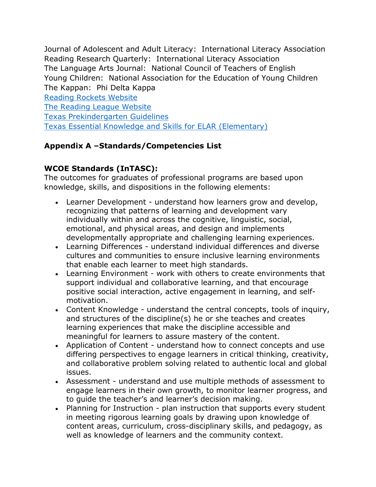Journal of Adolescent and Adult Literacy: International Literacy Association Reading Research Quarterly: International Literacy Association The Language Arts Journal: National Council of Teachers of English Young Children: National Association for the Education of Young Children The Kappan: Phi Delta Kappa

[Reading Rockets Website](https://www.readingrockets.org/) [The Reading League Website](https://www.thereadingleague.org/) [Texas Prekindergarten Guidelines](https://tea.texas.gov/sites/default/files/PKG_Final_2015_navigation.pdf) [Texas Essential Knowledge and Skills for ELAR \(Elementary\)](http://ritter.tea.state.tx.us/rules/tac/chapter110/ch110a.html)

# **Appendix A –Standards/Competencies List**

# **WCOE Standards (InTASC):**

The outcomes for graduates of professional programs are based upon knowledge, skills, and dispositions in the following elements:

- Learner Development understand how learners grow and develop, recognizing that patterns of learning and development vary individually within and across the cognitive, linguistic, social, emotional, and physical areas, and design and implements developmentally appropriate and challenging learning experiences.
- Learning Differences understand individual differences and diverse cultures and communities to ensure inclusive learning environments that enable each learner to meet high standards.
- Learning Environment work with others to create environments that support individual and collaborative learning, and that encourage positive social interaction, active engagement in learning, and selfmotivation.
- Content Knowledge understand the central concepts, tools of inquiry, and structures of the discipline(s) he or she teaches and creates learning experiences that make the discipline accessible and meaningful for learners to assure mastery of the content.
- Application of Content understand how to connect concepts and use differing perspectives to engage learners in critical thinking, creativity, and collaborative problem solving related to authentic local and global issues.
- Assessment understand and use multiple methods of assessment to engage learners in their own growth, to monitor learner progress, and to guide the teacher's and learner's decision making.
- Planning for Instruction plan instruction that supports every student in meeting rigorous learning goals by drawing upon knowledge of content areas, curriculum, cross-disciplinary skills, and pedagogy, as well as knowledge of learners and the community context.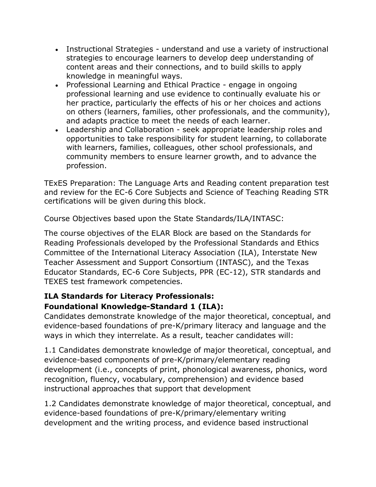- Instructional Strategies understand and use a variety of instructional strategies to encourage learners to develop deep understanding of content areas and their connections, and to build skills to apply knowledge in meaningful ways.
- Professional Learning and Ethical Practice engage in ongoing professional learning and use evidence to continually evaluate his or her practice, particularly the effects of his or her choices and actions on others (learners, families, other professionals, and the community), and adapts practice to meet the needs of each learner.
- Leadership and Collaboration seek appropriate leadership roles and opportunities to take responsibility for student learning, to collaborate with learners, families, colleagues, other school professionals, and community members to ensure learner growth, and to advance the profession.

TExES Preparation: The Language Arts and Reading content preparation test and review for the EC-6 Core Subjects and Science of Teaching Reading STR certifications will be given during this block.

Course Objectives based upon the State Standards/ILA/INTASC:

The course objectives of the ELAR Block are based on the Standards for Reading Professionals developed by the Professional Standards and Ethics Committee of the International Literacy Association (ILA), Interstate New Teacher Assessment and Support Consortium (INTASC), and the Texas Educator Standards, EC-6 Core Subjects, PPR (EC-12), STR standards and TEXES test framework competencies.

# **ILA Standards for Literacy Professionals: Foundational Knowledge-Standard 1 (ILA):**

Candidates demonstrate knowledge of the major theoretical, conceptual, and evidence-based foundations of pre-K/primary literacy and language and the ways in which they interrelate. As a result, teacher candidates will:

1.1 Candidates demonstrate knowledge of major theoretical, conceptual, and evidence-based components of pre-K/primary/elementary reading development (i.e., concepts of print, phonological awareness, phonics, word recognition, fluency, vocabulary, comprehension) and evidence based instructional approaches that support that development

1.2 Candidates demonstrate knowledge of major theoretical, conceptual, and evidence-based foundations of pre-K/primary/elementary writing development and the writing process, and evidence based instructional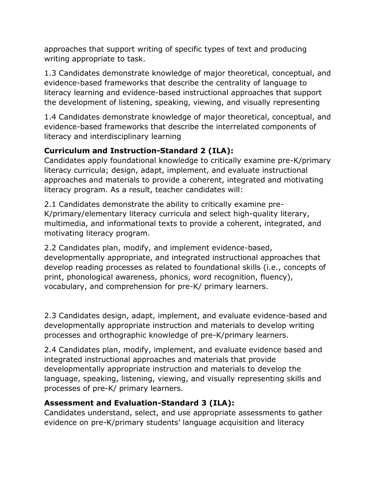approaches that support writing of specific types of text and producing writing appropriate to task.

1.3 Candidates demonstrate knowledge of major theoretical, conceptual, and evidence-based frameworks that describe the centrality of language to literacy learning and evidence-based instructional approaches that support the development of listening, speaking, viewing, and visually representing

1.4 Candidates demonstrate knowledge of major theoretical, conceptual, and evidence-based frameworks that describe the interrelated components of literacy and interdisciplinary learning

# **Curriculum and Instruction-Standard 2 (ILA):**

Candidates apply foundational knowledge to critically examine pre-K/primary literacy curricula; design, adapt, implement, and evaluate instructional approaches and materials to provide a coherent, integrated and motivating literacy program. As a result, teacher candidates will:

2.1 Candidates demonstrate the ability to critically examine pre-K/primary/elementary literacy curricula and select high-quality literary, multimedia, and informational texts to provide a coherent, integrated, and motivating literacy program.

2.2 Candidates plan, modify, and implement evidence-based, developmentally appropriate, and integrated instructional approaches that develop reading processes as related to foundational skills (i.e., concepts of print, phonological awareness, phonics, word recognition, fluency), vocabulary, and comprehension for pre-K/ primary learners.

2.3 Candidates design, adapt, implement, and evaluate evidence-based and developmentally appropriate instruction and materials to develop writing processes and orthographic knowledge of pre-K/primary learners.

2.4 Candidates plan, modify, implement, and evaluate evidence based and integrated instructional approaches and materials that provide developmentally appropriate instruction and materials to develop the language, speaking, listening, viewing, and visually representing skills and processes of pre-K/ primary learners.

# **Assessment and Evaluation-Standard 3 (ILA):**

Candidates understand, select, and use appropriate assessments to gather evidence on pre-K/primary students' language acquisition and literacy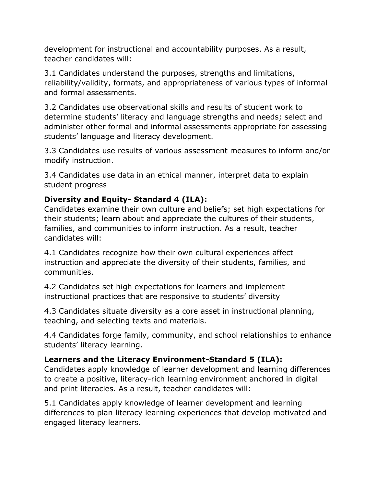development for instructional and accountability purposes. As a result, teacher candidates will:

3.1 Candidates understand the purposes, strengths and limitations, reliability/validity, formats, and appropriateness of various types of informal and formal assessments.

3.2 Candidates use observational skills and results of student work to determine students' literacy and language strengths and needs; select and administer other formal and informal assessments appropriate for assessing students' language and literacy development.

3.3 Candidates use results of various assessment measures to inform and/or modify instruction.

3.4 Candidates use data in an ethical manner, interpret data to explain student progress

# **Diversity and Equity- Standard 4 (ILA):**

Candidates examine their own culture and beliefs; set high expectations for their students; learn about and appreciate the cultures of their students, families, and communities to inform instruction. As a result, teacher candidates will:

4.1 Candidates recognize how their own cultural experiences affect instruction and appreciate the diversity of their students, families, and communities.

4.2 Candidates set high expectations for learners and implement instructional practices that are responsive to students' diversity

4.3 Candidates situate diversity as a core asset in instructional planning, teaching, and selecting texts and materials.

4.4 Candidates forge family, community, and school relationships to enhance students' literacy learning.

## **Learners and the Literacy Environment-Standard 5 (ILA):**

Candidates apply knowledge of learner development and learning differences to create a positive, literacy-rich learning environment anchored in digital and print literacies. As a result, teacher candidates will:

5.1 Candidates apply knowledge of learner development and learning differences to plan literacy learning experiences that develop motivated and engaged literacy learners.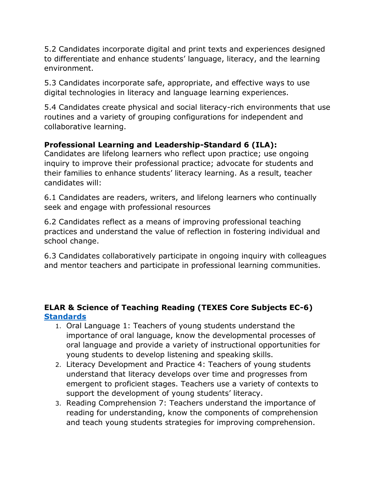5.2 Candidates incorporate digital and print texts and experiences designed to differentiate and enhance students' language, literacy, and the learning environment.

5.3 Candidates incorporate safe, appropriate, and effective ways to use digital technologies in literacy and language learning experiences.

5.4 Candidates create physical and social literacy-rich environments that use routines and a variety of grouping configurations for independent and collaborative learning.

# **Professional Learning and Leadership-Standard 6 (ILA):**

Candidates are lifelong learners who reflect upon practice; use ongoing inquiry to improve their professional practice; advocate for students and their families to enhance students' literacy learning. As a result, teacher candidates will:

6.1 Candidates are readers, writers, and lifelong learners who continually seek and engage with professional resources

6.2 Candidates reflect as a means of improving professional teaching practices and understand the value of reflection in fostering individual and school change.

6.3 Candidates collaboratively participate in ongoing inquiry with colleagues and mentor teachers and participate in professional learning communities.

## **ELAR & Science of Teaching Reading (TEXES Core Subjects EC-6) [Standards](https://tea.texas.gov/sites/default/files/EC_6_ELAR_Standard%284%29_0.pdf)**

- 1. Oral Language 1: Teachers of young students understand the importance of oral language, know the developmental processes of oral language and provide a variety of instructional opportunities for young students to develop listening and speaking skills.
- 2. Literacy Development and Practice 4: Teachers of young students understand that literacy develops over time and progresses from emergent to proficient stages. Teachers use a variety of contexts to support the development of young students' literacy.
- 3. Reading Comprehension 7: Teachers understand the importance of reading for understanding, know the components of comprehension and teach young students strategies for improving comprehension.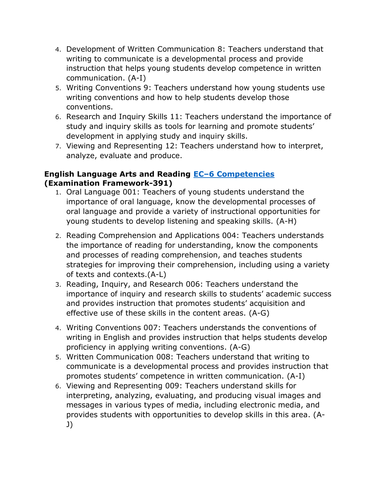- 4. Development of Written Communication 8: Teachers understand that writing to communicate is a developmental process and provide instruction that helps young students develop competence in written communication. (A-I)
- 5. Writing Conventions 9: Teachers understand how young students use writing conventions and how to help students develop those conventions.
- 6. Research and Inquiry Skills 11: Teachers understand the importance of study and inquiry skills as tools for learning and promote students' development in applying study and inquiry skills.
- 7. Viewing and Representing 12: Teachers understand how to interpret, analyze, evaluate and produce.

## **English Language Arts and Reading EC–[6 Competencies](https://www.tx.nesinc.com/Content/StudyGuide/TX_SG_obj_391.htm) (Examination Framework-391)**

- 1. Oral Language 001: Teachers of young students understand the importance of oral language, know the developmental processes of oral language and provide a variety of instructional opportunities for young students to develop listening and speaking skills. (A-H)
- 2. Reading Comprehension and Applications 004: Teachers understands the importance of reading for understanding, know the components and processes of reading comprehension, and teaches students strategies for improving their comprehension, including using a variety of texts and contexts.(A-L)
- 3. Reading, Inquiry, and Research 006: Teachers understand the importance of inquiry and research skills to students' academic success and provides instruction that promotes students' acquisition and effective use of these skills in the content areas. (A-G)
- 4. Writing Conventions 007: Teachers understands the conventions of writing in English and provides instruction that helps students develop proficiency in applying writing conventions. (A-G)
- 5. Written Communication 008: Teachers understand that writing to communicate is a developmental process and provides instruction that promotes students' competence in written communication. (A-I)
- 6. Viewing and Representing 009: Teachers understand skills for interpreting, analyzing, evaluating, and producing visual images and messages in various types of media, including electronic media, and provides students with opportunities to develop skills in this area. (A-J)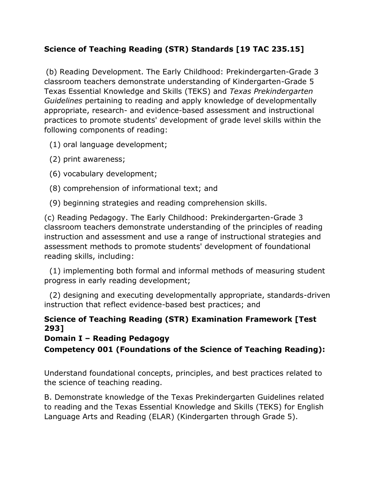# **Science of Teaching Reading (STR) Standards [19 TAC 235.15]**

(b) Reading Development. The Early Childhood: Prekindergarten-Grade 3 classroom teachers demonstrate understanding of Kindergarten-Grade 5 Texas Essential Knowledge and Skills (TEKS) and *Texas Prekindergarten Guidelines* pertaining to reading and apply knowledge of developmentally appropriate, research- and evidence-based assessment and instructional practices to promote students' development of grade level skills within the following components of reading:

(1) oral language development;

- (2) print awareness;
- (6) vocabulary development;
- (8) comprehension of informational text; and
- (9) beginning strategies and reading comprehension skills.

(c) Reading Pedagogy. The Early Childhood: Prekindergarten-Grade 3 classroom teachers demonstrate understanding of the principles of reading instruction and assessment and use a range of instructional strategies and assessment methods to promote students' development of foundational reading skills, including:

 (1) implementing both formal and informal methods of measuring student progress in early reading development;

 (2) designing and executing developmentally appropriate, standards-driven instruction that reflect evidence-based best practices; and

## **Science of Teaching Reading (STR) Examination Framework [Test 293]**

## **Domain I – Reading Pedagogy**

**Competency 001 (Foundations of the Science of Teaching Reading):** 

Understand foundational concepts, principles, and best practices related to the science of teaching reading.

B. Demonstrate knowledge of the Texas Prekindergarten Guidelines related to reading and the Texas Essential Knowledge and Skills (TEKS) for English Language Arts and Reading (ELAR) (Kindergarten through Grade 5).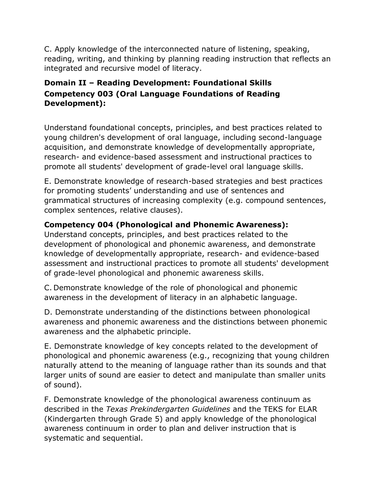C. Apply knowledge of the interconnected nature of listening, speaking, reading, writing, and thinking by planning reading instruction that reflects an integrated and recursive model of literacy.

# **Domain II – Reading Development: Foundational Skills Competency 003 (Oral Language Foundations of Reading Development):**

Understand foundational concepts, principles, and best practices related to young children's development of oral language, including second-language acquisition, and demonstrate knowledge of developmentally appropriate, research- and evidence-based assessment and instructional practices to promote all students' development of grade-level oral language skills.

E. Demonstrate knowledge of research-based strategies and best practices for promoting students' understanding and use of sentences and grammatical structures of increasing complexity (e.g. compound sentences, complex sentences, relative clauses).

# **Competency 004 (Phonological and Phonemic Awareness):**

Understand concepts, principles, and best practices related to the development of phonological and phonemic awareness, and demonstrate knowledge of developmentally appropriate, research- and evidence-based assessment and instructional practices to promote all students' development of grade-level phonological and phonemic awareness skills.

C. Demonstrate knowledge of the role of phonological and phonemic awareness in the development of literacy in an alphabetic language.

D. Demonstrate understanding of the distinctions between phonological awareness and phonemic awareness and the distinctions between phonemic awareness and the alphabetic principle.

E. Demonstrate knowledge of key concepts related to the development of phonological and phonemic awareness (e.g., recognizing that young children naturally attend to the meaning of language rather than its sounds and that larger units of sound are easier to detect and manipulate than smaller units of sound).

F. Demonstrate knowledge of the phonological awareness continuum as described in the *Texas Prekindergarten Guidelines* and the TEKS for ELAR (Kindergarten through Grade 5) and apply knowledge of the phonological awareness continuum in order to plan and deliver instruction that is systematic and sequential.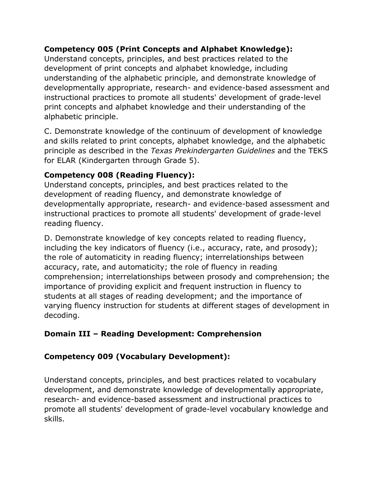# **Competency 005 (Print Concepts and Alphabet Knowledge):**

Understand concepts, principles, and best practices related to the development of print concepts and alphabet knowledge, including understanding of the alphabetic principle, and demonstrate knowledge of developmentally appropriate, research- and evidence-based assessment and instructional practices to promote all students' development of grade-level print concepts and alphabet knowledge and their understanding of the alphabetic principle.

C. Demonstrate knowledge of the continuum of development of knowledge and skills related to print concepts, alphabet knowledge, and the alphabetic principle as described in the *Texas Prekindergarten Guidelines* and the TEKS for ELAR (Kindergarten through Grade 5).

# **Competency 008 (Reading Fluency):**

Understand concepts, principles, and best practices related to the development of reading fluency, and demonstrate knowledge of developmentally appropriate, research- and evidence-based assessment and instructional practices to promote all students' development of grade-level reading fluency.

D. Demonstrate knowledge of key concepts related to reading fluency, including the key indicators of fluency (i.e., accuracy, rate, and prosody); the role of automaticity in reading fluency; interrelationships between accuracy, rate, and automaticity; the role of fluency in reading comprehension; interrelationships between prosody and comprehension; the importance of providing explicit and frequent instruction in fluency to students at all stages of reading development; and the importance of varying fluency instruction for students at different stages of development in decoding.

# **Domain III – Reading Development: Comprehension**

# **Competency 009 (Vocabulary Development):**

Understand concepts, principles, and best practices related to vocabulary development, and demonstrate knowledge of developmentally appropriate, research- and evidence-based assessment and instructional practices to promote all students' development of grade-level vocabulary knowledge and skills.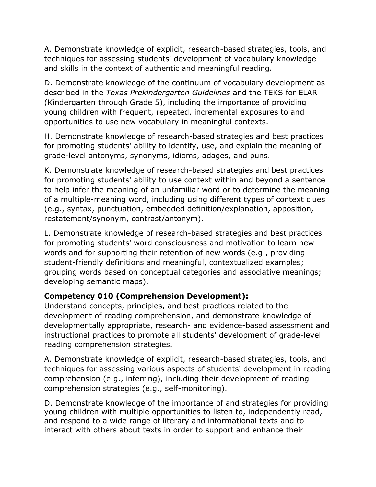A. Demonstrate knowledge of explicit, research-based strategies, tools, and techniques for assessing students' development of vocabulary knowledge and skills in the context of authentic and meaningful reading.

D. Demonstrate knowledge of the continuum of vocabulary development as described in the *Texas Prekindergarten Guidelines* and the TEKS for ELAR (Kindergarten through Grade 5), including the importance of providing young children with frequent, repeated, incremental exposures to and opportunities to use new vocabulary in meaningful contexts.

H. Demonstrate knowledge of research-based strategies and best practices for promoting students' ability to identify, use, and explain the meaning of grade-level antonyms, synonyms, idioms, adages, and puns.

K. Demonstrate knowledge of research-based strategies and best practices for promoting students' ability to use context within and beyond a sentence to help infer the meaning of an unfamiliar word or to determine the meaning of a multiple-meaning word, including using different types of context clues (e.g., syntax, punctuation, embedded definition/explanation, apposition, restatement/synonym, contrast/antonym).

L. Demonstrate knowledge of research-based strategies and best practices for promoting students' word consciousness and motivation to learn new words and for supporting their retention of new words (e.g., providing student-friendly definitions and meaningful, contextualized examples; grouping words based on conceptual categories and associative meanings; developing semantic maps).

## **Competency 010 (Comprehension Development):**

Understand concepts, principles, and best practices related to the development of reading comprehension, and demonstrate knowledge of developmentally appropriate, research- and evidence-based assessment and instructional practices to promote all students' development of grade-level reading comprehension strategies.

A. Demonstrate knowledge of explicit, research-based strategies, tools, and techniques for assessing various aspects of students' development in reading comprehension (e.g., inferring), including their development of reading comprehension strategies (e.g., self-monitoring).

D. Demonstrate knowledge of the importance of and strategies for providing young children with multiple opportunities to listen to, independently read, and respond to a wide range of literary and informational texts and to interact with others about texts in order to support and enhance their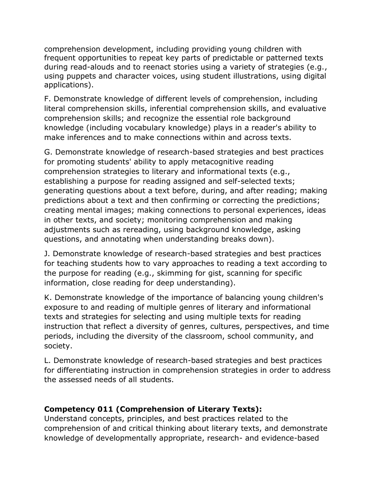comprehension development, including providing young children with frequent opportunities to repeat key parts of predictable or patterned texts during read-alouds and to reenact stories using a variety of strategies (e.g., using puppets and character voices, using student illustrations, using digital applications).

F. Demonstrate knowledge of different levels of comprehension, including literal comprehension skills, inferential comprehension skills, and evaluative comprehension skills; and recognize the essential role background knowledge (including vocabulary knowledge) plays in a reader's ability to make inferences and to make connections within and across texts.

G. Demonstrate knowledge of research-based strategies and best practices for promoting students' ability to apply metacognitive reading comprehension strategies to literary and informational texts (e.g., establishing a purpose for reading assigned and self-selected texts; generating questions about a text before, during, and after reading; making predictions about a text and then confirming or correcting the predictions; creating mental images; making connections to personal experiences, ideas in other texts, and society; monitoring comprehension and making adjustments such as rereading, using background knowledge, asking questions, and annotating when understanding breaks down).

J. Demonstrate knowledge of research-based strategies and best practices for teaching students how to vary approaches to reading a text according to the purpose for reading (e.g., skimming for gist, scanning for specific information, close reading for deep understanding).

K. Demonstrate knowledge of the importance of balancing young children's exposure to and reading of multiple genres of literary and informational texts and strategies for selecting and using multiple texts for reading instruction that reflect a diversity of genres, cultures, perspectives, and time periods, including the diversity of the classroom, school community, and society.

L. Demonstrate knowledge of research-based strategies and best practices for differentiating instruction in comprehension strategies in order to address the assessed needs of all students.

# **Competency 011 (Comprehension of Literary Texts):**

Understand concepts, principles, and best practices related to the comprehension of and critical thinking about literary texts, and demonstrate knowledge of developmentally appropriate, research- and evidence-based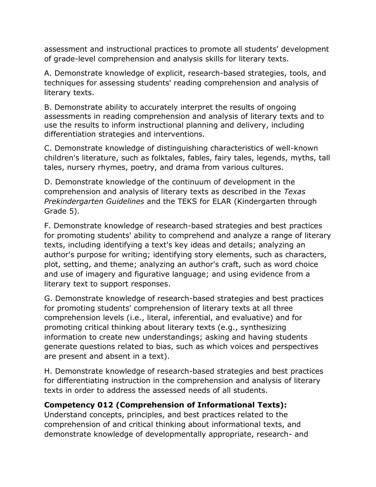assessment and instructional practices to promote all students' development of grade-level comprehension and analysis skills for literary texts.

A. Demonstrate knowledge of explicit, research-based strategies, tools, and techniques for assessing students' reading comprehension and analysis of literary texts.

B. Demonstrate ability to accurately interpret the results of ongoing assessments in reading comprehension and analysis of literary texts and to use the results to inform instructional planning and delivery, including differentiation strategies and interventions.

C. Demonstrate knowledge of distinguishing characteristics of well-known children's literature, such as folktales, fables, fairy tales, legends, myths, tall tales, nursery rhymes, poetry, and drama from various cultures.

D. Demonstrate knowledge of the continuum of development in the comprehension and analysis of literary texts as described in the *Texas Prekindergarten Guidelines* and the TEKS for ELAR (Kindergarten through Grade 5).

F. Demonstrate knowledge of research-based strategies and best practices for promoting students' ability to comprehend and analyze a range of literary texts, including identifying a text's key ideas and details; analyzing an author's purpose for writing; identifying story elements, such as characters, plot, setting, and theme; analyzing an author's craft, such as word choice and use of imagery and figurative language; and using evidence from a literary text to support responses.

G. Demonstrate knowledge of research-based strategies and best practices for promoting students' comprehension of literary texts at all three comprehension levels (i.e., literal, inferential, and evaluative) and for promoting critical thinking about literary texts (e.g., synthesizing information to create new understandings; asking and having students generate questions related to bias, such as which voices and perspectives are present and absent in a text).

H. Demonstrate knowledge of research-based strategies and best practices for differentiating instruction in the comprehension and analysis of literary texts in order to address the assessed needs of all students.

# **Competency 012 (Comprehension of Informational Texts):**

Understand concepts, principles, and best practices related to the comprehension of and critical thinking about informational texts, and demonstrate knowledge of developmentally appropriate, research- and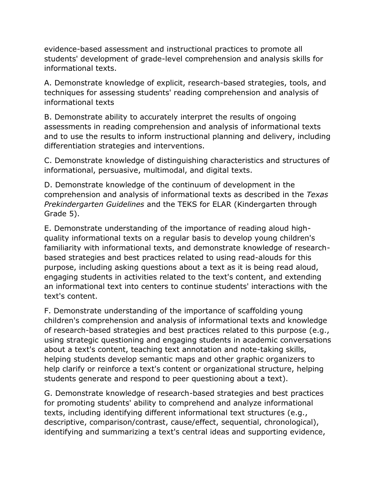evidence-based assessment and instructional practices to promote all students' development of grade-level comprehension and analysis skills for informational texts.

A. Demonstrate knowledge of explicit, research-based strategies, tools, and techniques for assessing students' reading comprehension and analysis of informational texts

B. Demonstrate ability to accurately interpret the results of ongoing assessments in reading comprehension and analysis of informational texts and to use the results to inform instructional planning and delivery, including differentiation strategies and interventions.

C. Demonstrate knowledge of distinguishing characteristics and structures of informational, persuasive, multimodal, and digital texts.

D. Demonstrate knowledge of the continuum of development in the comprehension and analysis of informational texts as described in the *Texas Prekindergarten Guidelines* and the TEKS for ELAR (Kindergarten through Grade 5).

E. Demonstrate understanding of the importance of reading aloud highquality informational texts on a regular basis to develop young children's familiarity with informational texts, and demonstrate knowledge of researchbased strategies and best practices related to using read-alouds for this purpose, including asking questions about a text as it is being read aloud, engaging students in activities related to the text's content, and extending an informational text into centers to continue students' interactions with the text's content.

F. Demonstrate understanding of the importance of scaffolding young children's comprehension and analysis of informational texts and knowledge of research-based strategies and best practices related to this purpose (e.g., using strategic questioning and engaging students in academic conversations about a text's content, teaching text annotation and note-taking skills, helping students develop semantic maps and other graphic organizers to help clarify or reinforce a text's content or organizational structure, helping students generate and respond to peer questioning about a text).

G. Demonstrate knowledge of research-based strategies and best practices for promoting students' ability to comprehend and analyze informational texts, including identifying different informational text structures (e.g., descriptive, comparison/contrast, cause/effect, sequential, chronological), identifying and summarizing a text's central ideas and supporting evidence,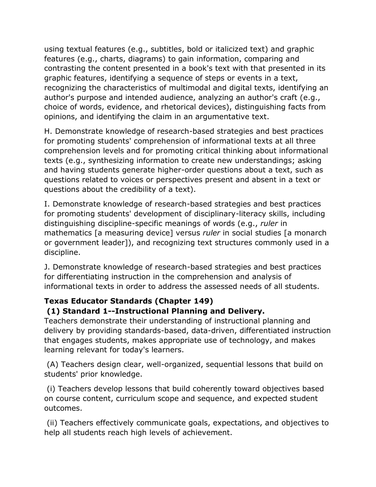using textual features (e.g., subtitles, bold or italicized text) and graphic features (e.g., charts, diagrams) to gain information, comparing and contrasting the content presented in a book's text with that presented in its graphic features, identifying a sequence of steps or events in a text, recognizing the characteristics of multimodal and digital texts, identifying an author's purpose and intended audience, analyzing an author's craft (e.g., choice of words, evidence, and rhetorical devices), distinguishing facts from opinions, and identifying the claim in an argumentative text.

H. Demonstrate knowledge of research-based strategies and best practices for promoting students' comprehension of informational texts at all three comprehension levels and for promoting critical thinking about informational texts (e.g., synthesizing information to create new understandings; asking and having students generate higher-order questions about a text, such as questions related to voices or perspectives present and absent in a text or questions about the credibility of a text).

I. Demonstrate knowledge of research-based strategies and best practices for promoting students' development of disciplinary-literacy skills, including distinguishing discipline-specific meanings of words (e.g., *ruler* in mathematics [a measuring device] versus *ruler* in social studies [a monarch or government leader]), and recognizing text structures commonly used in a discipline.

J. Demonstrate knowledge of research-based strategies and best practices for differentiating instruction in the comprehension and analysis of informational texts in order to address the assessed needs of all students.

# **Texas Educator Standards (Chapter 149)**

# **(1) Standard 1--Instructional Planning and Delivery.**

Teachers demonstrate their understanding of instructional planning and delivery by providing standards-based, data-driven, differentiated instruction that engages students, makes appropriate use of technology, and makes learning relevant for today's learners.

(A) Teachers design clear, well-organized, sequential lessons that build on students' prior knowledge.

(i) Teachers develop lessons that build coherently toward objectives based on course content, curriculum scope and sequence, and expected student outcomes.

(ii) Teachers effectively communicate goals, expectations, and objectives to help all students reach high levels of achievement.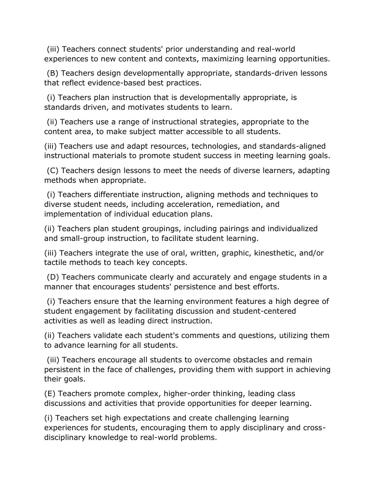(iii) Teachers connect students' prior understanding and real-world experiences to new content and contexts, maximizing learning opportunities.

(B) Teachers design developmentally appropriate, standards-driven lessons that reflect evidence-based best practices.

(i) Teachers plan instruction that is developmentally appropriate, is standards driven, and motivates students to learn.

(ii) Teachers use a range of instructional strategies, appropriate to the content area, to make subject matter accessible to all students.

(iii) Teachers use and adapt resources, technologies, and standards-aligned instructional materials to promote student success in meeting learning goals.

(C) Teachers design lessons to meet the needs of diverse learners, adapting methods when appropriate.

(i) Teachers differentiate instruction, aligning methods and techniques to diverse student needs, including acceleration, remediation, and implementation of individual education plans.

(ii) Teachers plan student groupings, including pairings and individualized and small-group instruction, to facilitate student learning.

(iii) Teachers integrate the use of oral, written, graphic, kinesthetic, and/or tactile methods to teach key concepts.

(D) Teachers communicate clearly and accurately and engage students in a manner that encourages students' persistence and best efforts.

(i) Teachers ensure that the learning environment features a high degree of student engagement by facilitating discussion and student-centered activities as well as leading direct instruction.

(ii) Teachers validate each student's comments and questions, utilizing them to advance learning for all students.

(iii) Teachers encourage all students to overcome obstacles and remain persistent in the face of challenges, providing them with support in achieving their goals.

(E) Teachers promote complex, higher-order thinking, leading class discussions and activities that provide opportunities for deeper learning.

(i) Teachers set high expectations and create challenging learning experiences for students, encouraging them to apply disciplinary and crossdisciplinary knowledge to real-world problems.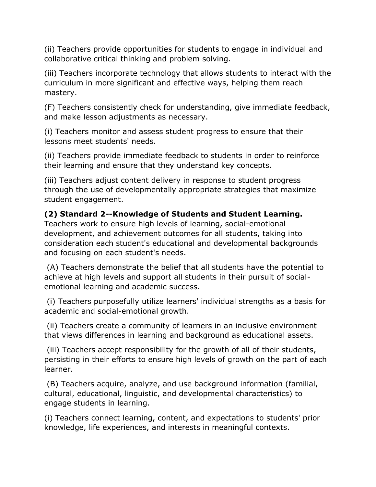(ii) Teachers provide opportunities for students to engage in individual and collaborative critical thinking and problem solving.

(iii) Teachers incorporate technology that allows students to interact with the curriculum in more significant and effective ways, helping them reach mastery.

(F) Teachers consistently check for understanding, give immediate feedback, and make lesson adjustments as necessary.

(i) Teachers monitor and assess student progress to ensure that their lessons meet students' needs.

(ii) Teachers provide immediate feedback to students in order to reinforce their learning and ensure that they understand key concepts.

(iii) Teachers adjust content delivery in response to student progress through the use of developmentally appropriate strategies that maximize student engagement.

# **(2) Standard 2--Knowledge of Students and Student Learning.**

Teachers work to ensure high levels of learning, social-emotional development, and achievement outcomes for all students, taking into consideration each student's educational and developmental backgrounds and focusing on each student's needs.

(A) Teachers demonstrate the belief that all students have the potential to achieve at high levels and support all students in their pursuit of socialemotional learning and academic success.

(i) Teachers purposefully utilize learners' individual strengths as a basis for academic and social-emotional growth.

(ii) Teachers create a community of learners in an inclusive environment that views differences in learning and background as educational assets.

(iii) Teachers accept responsibility for the growth of all of their students, persisting in their efforts to ensure high levels of growth on the part of each learner.

(B) Teachers acquire, analyze, and use background information (familial, cultural, educational, linguistic, and developmental characteristics) to engage students in learning.

(i) Teachers connect learning, content, and expectations to students' prior knowledge, life experiences, and interests in meaningful contexts.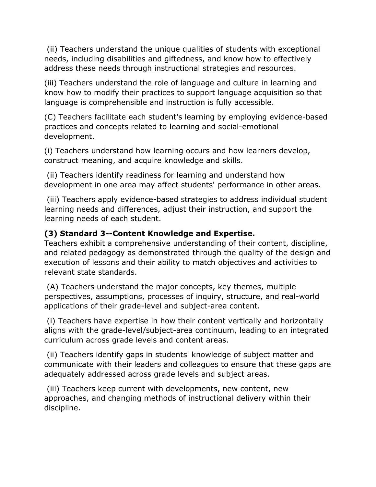(ii) Teachers understand the unique qualities of students with exceptional needs, including disabilities and giftedness, and know how to effectively address these needs through instructional strategies and resources.

(iii) Teachers understand the role of language and culture in learning and know how to modify their practices to support language acquisition so that language is comprehensible and instruction is fully accessible.

(C) Teachers facilitate each student's learning by employing evidence-based practices and concepts related to learning and social-emotional development.

(i) Teachers understand how learning occurs and how learners develop, construct meaning, and acquire knowledge and skills.

(ii) Teachers identify readiness for learning and understand how development in one area may affect students' performance in other areas.

(iii) Teachers apply evidence-based strategies to address individual student learning needs and differences, adjust their instruction, and support the learning needs of each student.

# **(3) Standard 3--Content Knowledge and Expertise.**

Teachers exhibit a comprehensive understanding of their content, discipline, and related pedagogy as demonstrated through the quality of the design and execution of lessons and their ability to match objectives and activities to relevant state standards.

(A) Teachers understand the major concepts, key themes, multiple perspectives, assumptions, processes of inquiry, structure, and real-world applications of their grade-level and subject-area content.

(i) Teachers have expertise in how their content vertically and horizontally aligns with the grade-level/subject-area continuum, leading to an integrated curriculum across grade levels and content areas.

(ii) Teachers identify gaps in students' knowledge of subject matter and communicate with their leaders and colleagues to ensure that these gaps are adequately addressed across grade levels and subject areas.

(iii) Teachers keep current with developments, new content, new approaches, and changing methods of instructional delivery within their discipline.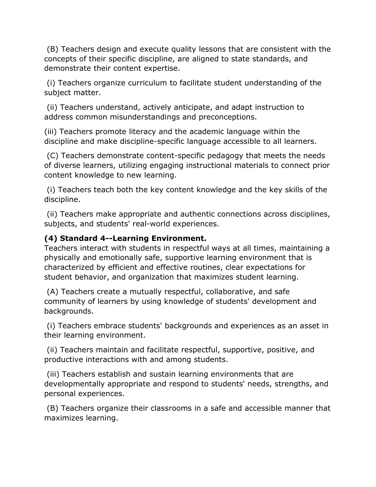(B) Teachers design and execute quality lessons that are consistent with the concepts of their specific discipline, are aligned to state standards, and demonstrate their content expertise.

(i) Teachers organize curriculum to facilitate student understanding of the subject matter.

(ii) Teachers understand, actively anticipate, and adapt instruction to address common misunderstandings and preconceptions.

(iii) Teachers promote literacy and the academic language within the discipline and make discipline-specific language accessible to all learners.

(C) Teachers demonstrate content-specific pedagogy that meets the needs of diverse learners, utilizing engaging instructional materials to connect prior content knowledge to new learning.

(i) Teachers teach both the key content knowledge and the key skills of the discipline.

(ii) Teachers make appropriate and authentic connections across disciplines, subjects, and students' real-world experiences.

## **(4) Standard 4--Learning Environment.**

Teachers interact with students in respectful ways at all times, maintaining a physically and emotionally safe, supportive learning environment that is characterized by efficient and effective routines, clear expectations for student behavior, and organization that maximizes student learning.

(A) Teachers create a mutually respectful, collaborative, and safe community of learners by using knowledge of students' development and backgrounds.

(i) Teachers embrace students' backgrounds and experiences as an asset in their learning environment.

(ii) Teachers maintain and facilitate respectful, supportive, positive, and productive interactions with and among students.

(iii) Teachers establish and sustain learning environments that are developmentally appropriate and respond to students' needs, strengths, and personal experiences.

(B) Teachers organize their classrooms in a safe and accessible manner that maximizes learning.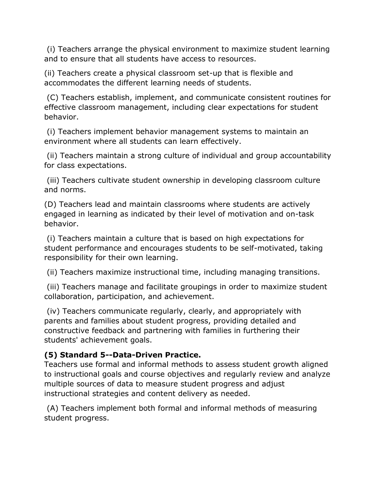(i) Teachers arrange the physical environment to maximize student learning and to ensure that all students have access to resources.

(ii) Teachers create a physical classroom set-up that is flexible and accommodates the different learning needs of students.

(C) Teachers establish, implement, and communicate consistent routines for effective classroom management, including clear expectations for student behavior.

(i) Teachers implement behavior management systems to maintain an environment where all students can learn effectively.

(ii) Teachers maintain a strong culture of individual and group accountability for class expectations.

(iii) Teachers cultivate student ownership in developing classroom culture and norms.

(D) Teachers lead and maintain classrooms where students are actively engaged in learning as indicated by their level of motivation and on-task behavior.

(i) Teachers maintain a culture that is based on high expectations for student performance and encourages students to be self-motivated, taking responsibility for their own learning.

(ii) Teachers maximize instructional time, including managing transitions.

(iii) Teachers manage and facilitate groupings in order to maximize student collaboration, participation, and achievement.

(iv) Teachers communicate regularly, clearly, and appropriately with parents and families about student progress, providing detailed and constructive feedback and partnering with families in furthering their students' achievement goals.

# **(5) Standard 5--Data-Driven Practice.**

Teachers use formal and informal methods to assess student growth aligned to instructional goals and course objectives and regularly review and analyze multiple sources of data to measure student progress and adjust instructional strategies and content delivery as needed.

(A) Teachers implement both formal and informal methods of measuring student progress.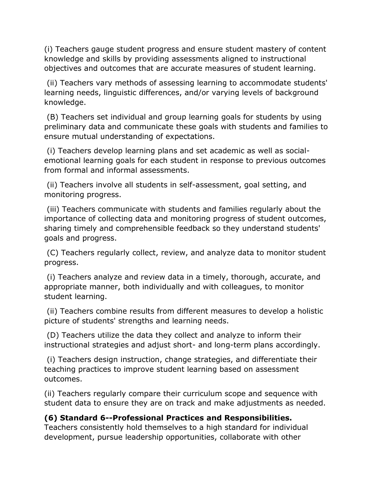(i) Teachers gauge student progress and ensure student mastery of content knowledge and skills by providing assessments aligned to instructional objectives and outcomes that are accurate measures of student learning.

(ii) Teachers vary methods of assessing learning to accommodate students' learning needs, linguistic differences, and/or varying levels of background knowledge.

(B) Teachers set individual and group learning goals for students by using preliminary data and communicate these goals with students and families to ensure mutual understanding of expectations.

(i) Teachers develop learning plans and set academic as well as socialemotional learning goals for each student in response to previous outcomes from formal and informal assessments.

(ii) Teachers involve all students in self-assessment, goal setting, and monitoring progress.

(iii) Teachers communicate with students and families regularly about the importance of collecting data and monitoring progress of student outcomes, sharing timely and comprehensible feedback so they understand students' goals and progress.

(C) Teachers regularly collect, review, and analyze data to monitor student progress.

(i) Teachers analyze and review data in a timely, thorough, accurate, and appropriate manner, both individually and with colleagues, to monitor student learning.

(ii) Teachers combine results from different measures to develop a holistic picture of students' strengths and learning needs.

(D) Teachers utilize the data they collect and analyze to inform their instructional strategies and adjust short- and long-term plans accordingly.

(i) Teachers design instruction, change strategies, and differentiate their teaching practices to improve student learning based on assessment outcomes.

(ii) Teachers regularly compare their curriculum scope and sequence with student data to ensure they are on track and make adjustments as needed.

# **(6) Standard 6--Professional Practices and Responsibilities.**

Teachers consistently hold themselves to a high standard for individual development, pursue leadership opportunities, collaborate with other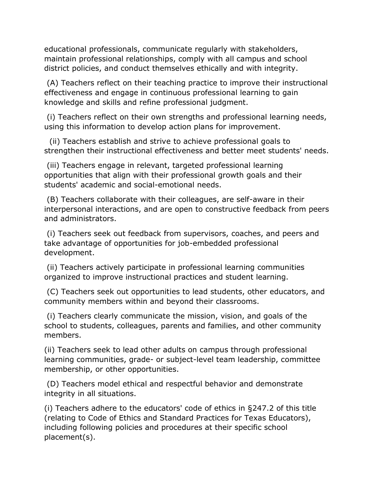educational professionals, communicate regularly with stakeholders, maintain professional relationships, comply with all campus and school district policies, and conduct themselves ethically and with integrity.

(A) Teachers reflect on their teaching practice to improve their instructional effectiveness and engage in continuous professional learning to gain knowledge and skills and refine professional judgment.

(i) Teachers reflect on their own strengths and professional learning needs, using this information to develop action plans for improvement.

 (ii) Teachers establish and strive to achieve professional goals to strengthen their instructional effectiveness and better meet students' needs.

(iii) Teachers engage in relevant, targeted professional learning opportunities that align with their professional growth goals and their students' academic and social-emotional needs.

(B) Teachers collaborate with their colleagues, are self-aware in their interpersonal interactions, and are open to constructive feedback from peers and administrators.

(i) Teachers seek out feedback from supervisors, coaches, and peers and take advantage of opportunities for job-embedded professional development.

(ii) Teachers actively participate in professional learning communities organized to improve instructional practices and student learning.

(C) Teachers seek out opportunities to lead students, other educators, and community members within and beyond their classrooms.

(i) Teachers clearly communicate the mission, vision, and goals of the school to students, colleagues, parents and families, and other community members.

(ii) Teachers seek to lead other adults on campus through professional learning communities, grade- or subject-level team leadership, committee membership, or other opportunities.

(D) Teachers model ethical and respectful behavior and demonstrate integrity in all situations.

(i) Teachers adhere to the educators' code of ethics in §247.2 of this title (relating to Code of Ethics and Standard Practices for Texas Educators), including following policies and procedures at their specific school placement(s).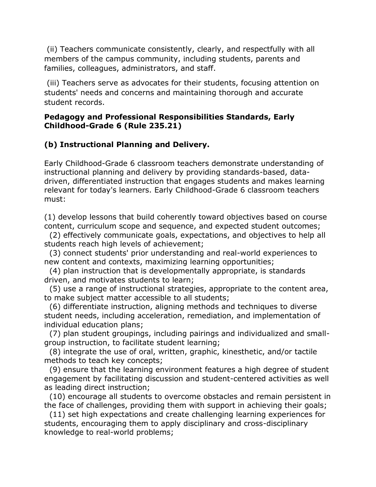(ii) Teachers communicate consistently, clearly, and respectfully with all members of the campus community, including students, parents and families, colleagues, administrators, and staff.

(iii) Teachers serve as advocates for their students, focusing attention on students' needs and concerns and maintaining thorough and accurate student records.

#### **Pedagogy and Professional Responsibilities Standards, Early Childhood-Grade 6 (Rule 235.21)**

# **(b) Instructional Planning and Delivery.**

Early Childhood-Grade 6 classroom teachers demonstrate understanding of instructional planning and delivery by providing standards-based, datadriven, differentiated instruction that engages students and makes learning relevant for today's learners. Early Childhood-Grade 6 classroom teachers must:

(1) develop lessons that build coherently toward objectives based on course content, curriculum scope and sequence, and expected student outcomes;

 (2) effectively communicate goals, expectations, and objectives to help all students reach high levels of achievement;

 (3) connect students' prior understanding and real-world experiences to new content and contexts, maximizing learning opportunities;

 (4) plan instruction that is developmentally appropriate, is standards driven, and motivates students to learn;

 (5) use a range of instructional strategies, appropriate to the content area, to make subject matter accessible to all students;

 (6) differentiate instruction, aligning methods and techniques to diverse student needs, including acceleration, remediation, and implementation of individual education plans;

 (7) plan student groupings, including pairings and individualized and smallgroup instruction, to facilitate student learning;

 (8) integrate the use of oral, written, graphic, kinesthetic, and/or tactile methods to teach key concepts;

 (9) ensure that the learning environment features a high degree of student engagement by facilitating discussion and student-centered activities as well as leading direct instruction;

 (10) encourage all students to overcome obstacles and remain persistent in the face of challenges, providing them with support in achieving their goals;

 (11) set high expectations and create challenging learning experiences for students, encouraging them to apply disciplinary and cross-disciplinary knowledge to real-world problems;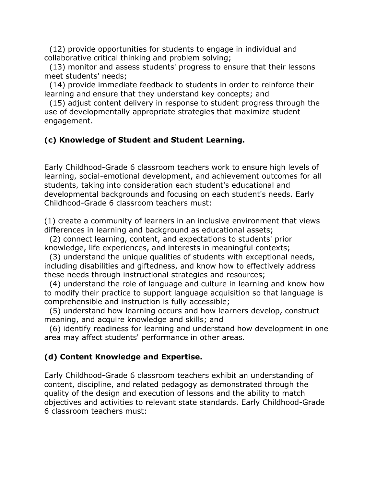(12) provide opportunities for students to engage in individual and collaborative critical thinking and problem solving;

 (13) monitor and assess students' progress to ensure that their lessons meet students' needs;

 (14) provide immediate feedback to students in order to reinforce their learning and ensure that they understand key concepts; and

 (15) adjust content delivery in response to student progress through the use of developmentally appropriate strategies that maximize student engagement.

# **(c) Knowledge of Student and Student Learning.**

Early Childhood-Grade 6 classroom teachers work to ensure high levels of learning, social-emotional development, and achievement outcomes for all students, taking into consideration each student's educational and developmental backgrounds and focusing on each student's needs. Early Childhood-Grade 6 classroom teachers must:

(1) create a community of learners in an inclusive environment that views differences in learning and background as educational assets;

 (2) connect learning, content, and expectations to students' prior knowledge, life experiences, and interests in meaningful contexts;

 (3) understand the unique qualities of students with exceptional needs, including disabilities and giftedness, and know how to effectively address these needs through instructional strategies and resources;

 (4) understand the role of language and culture in learning and know how to modify their practice to support language acquisition so that language is comprehensible and instruction is fully accessible;

 (5) understand how learning occurs and how learners develop, construct meaning, and acquire knowledge and skills; and

 (6) identify readiness for learning and understand how development in one area may affect students' performance in other areas.

# **(d) Content Knowledge and Expertise.**

Early Childhood-Grade 6 classroom teachers exhibit an understanding of content, discipline, and related pedagogy as demonstrated through the quality of the design and execution of lessons and the ability to match objectives and activities to relevant state standards. Early Childhood-Grade 6 classroom teachers must: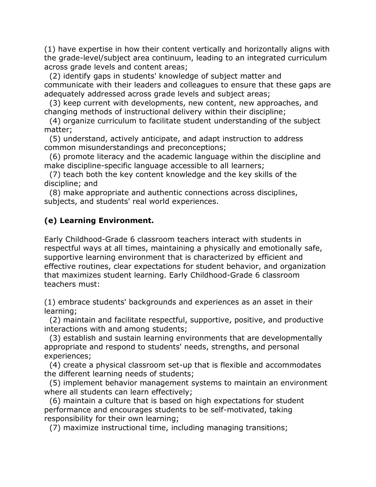(1) have expertise in how their content vertically and horizontally aligns with the grade-level/subject area continuum, leading to an integrated curriculum across grade levels and content areas;

 (2) identify gaps in students' knowledge of subject matter and communicate with their leaders and colleagues to ensure that these gaps are adequately addressed across grade levels and subject areas;

 (3) keep current with developments, new content, new approaches, and changing methods of instructional delivery within their discipline;

 (4) organize curriculum to facilitate student understanding of the subject matter;

 (5) understand, actively anticipate, and adapt instruction to address common misunderstandings and preconceptions;

 (6) promote literacy and the academic language within the discipline and make discipline-specific language accessible to all learners;

 (7) teach both the key content knowledge and the key skills of the discipline; and

 (8) make appropriate and authentic connections across disciplines, subjects, and students' real world experiences.

# **(e) Learning Environment.**

Early Childhood-Grade 6 classroom teachers interact with students in respectful ways at all times, maintaining a physically and emotionally safe, supportive learning environment that is characterized by efficient and effective routines, clear expectations for student behavior, and organization that maximizes student learning. Early Childhood-Grade 6 classroom teachers must:

(1) embrace students' backgrounds and experiences as an asset in their learning;

 (2) maintain and facilitate respectful, supportive, positive, and productive interactions with and among students;

 (3) establish and sustain learning environments that are developmentally appropriate and respond to students' needs, strengths, and personal experiences;

 (4) create a physical classroom set-up that is flexible and accommodates the different learning needs of students;

 (5) implement behavior management systems to maintain an environment where all students can learn effectively;

 (6) maintain a culture that is based on high expectations for student performance and encourages students to be self-motivated, taking responsibility for their own learning;

(7) maximize instructional time, including managing transitions;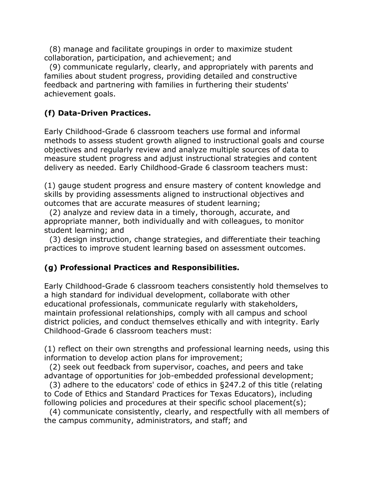(8) manage and facilitate groupings in order to maximize student collaboration, participation, and achievement; and

 (9) communicate regularly, clearly, and appropriately with parents and families about student progress, providing detailed and constructive feedback and partnering with families in furthering their students' achievement goals.

# **(f) Data-Driven Practices.**

Early Childhood-Grade 6 classroom teachers use formal and informal methods to assess student growth aligned to instructional goals and course objectives and regularly review and analyze multiple sources of data to measure student progress and adjust instructional strategies and content delivery as needed. Early Childhood-Grade 6 classroom teachers must:

(1) gauge student progress and ensure mastery of content knowledge and skills by providing assessments aligned to instructional objectives and outcomes that are accurate measures of student learning;

 (2) analyze and review data in a timely, thorough, accurate, and appropriate manner, both individually and with colleagues, to monitor student learning; and

 (3) design instruction, change strategies, and differentiate their teaching practices to improve student learning based on assessment outcomes.

# **(g) Professional Practices and Responsibilities.**

Early Childhood-Grade 6 classroom teachers consistently hold themselves to a high standard for individual development, collaborate with other educational professionals, communicate regularly with stakeholders, maintain professional relationships, comply with all campus and school district policies, and conduct themselves ethically and with integrity. Early Childhood-Grade 6 classroom teachers must:

(1) reflect on their own strengths and professional learning needs, using this information to develop action plans for improvement;

 (2) seek out feedback from supervisor, coaches, and peers and take advantage of opportunities for job-embedded professional development;

 (3) adhere to the educators' code of ethics in §247.2 of this title (relating to Code of Ethics and Standard Practices for Texas Educators), including following policies and procedures at their specific school placement(s);

 (4) communicate consistently, clearly, and respectfully with all members of the campus community, administrators, and staff; and